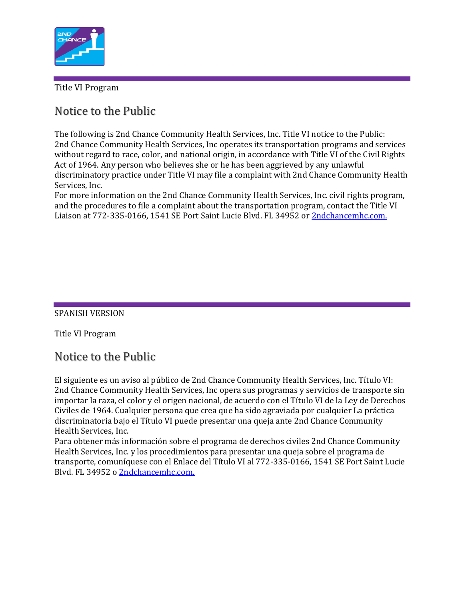

Title VI Program

### Notice to the Public

The following is 2nd Chance Community Health Services, Inc. Title VI notice to the Public: 2nd Chance Community Health Services, Inc operates its transportation programs and services without regard to race, color, and national origin, in accordance with Title VI of the Civil Rights Act of 1964. Any person who believes she or he has been aggrieved by any unlawful discriminatory practice under Title VI may file a complaint with 2nd Chance Community Health Services, Inc.

For more information on the 2nd Chance Community Health Services, Inc. civil rights program, and the procedures to file a complaint about the transportation program, contact the Title VI Liaison at 772-335-0166, 1541 SE Port Saint Lucie Blvd. FL 34952 or [2ndchancemhc.com.](http://2ndchancemhc.com/?fbclid=IwAR01jafWJugY3ar_DyWNzEJhv9KgAmt_uMvkLFSM8okQURP5TK-fix-lQtU)

#### SPANISH VERSION

Title VI Program

## Notice to the Public

El siguiente es un aviso al público de 2nd Chance Community Health Services, Inc. Título VI: 2nd Chance Community Health Services, Inc opera sus programas y servicios de transporte sin importar la raza, el color y el origen nacional, de acuerdo con el Título VI de la Ley de Derechos Civiles de 1964. Cualquier persona que crea que ha sido agraviada por cualquier La práctica discriminatoria bajo el Título VI puede presentar una queja ante 2nd Chance Community Health Services, Inc.

Para obtener más información sobre el programa de derechos civiles 2nd Chance Community Health Services, Inc. y los procedimientos para presentar una queja sobre el programa de transporte, comuníquese con el Enlace del Título VI al 772-335-0166, 1541 SE Port Saint Lucie Blvd. FL 34952 o [2ndchancemhc.com.](http://2ndchancemhc.com/?fbclid=IwAR3yu0XPKHg68ckql1hjeXvroAXcjbI5svd47qQM78JUwXUfeE2XVVcBReo)